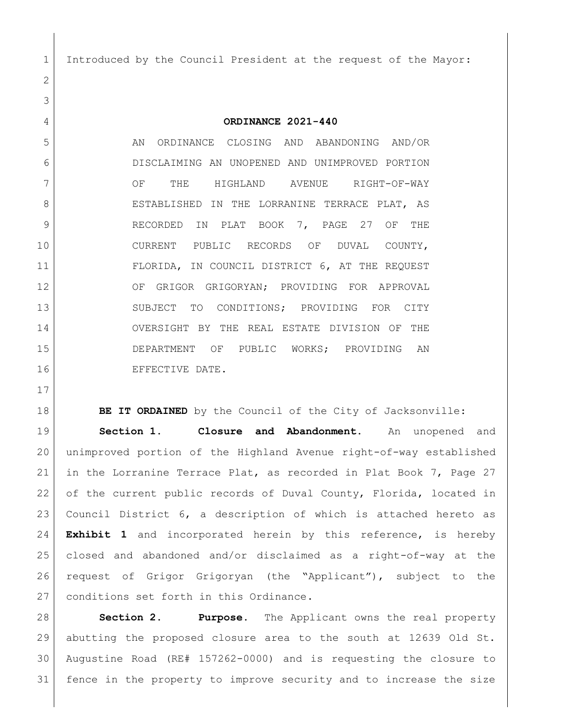Introduced by the Council President at the request of the Mayor:

**ORDINANCE 2021-440**

5 AN ORDINANCE CLOSING AND ABANDONING AND/OR DISCLAIMING AN UNOPENED AND UNIMPROVED PORTION 7 OF THE HIGHLAND AVENUE RIGHT-OF-WAY 8 ESTABLISHED IN THE LORRANINE TERRACE PLAT, AS 9 RECORDED IN PLAT BOOK 7, PAGE 27 OF THE 10 CURRENT PUBLIC RECORDS OF DUVAL COUNTY, FLORIDA, IN COUNCIL DISTRICT 6, AT THE REQUEST 12 OF GRIGOR GRIGORYAN; PROVIDING FOR APPROVAL 13 SUBJECT TO CONDITIONS; PROVIDING FOR CITY OVERSIGHT BY THE REAL ESTATE DIVISION OF THE DEPARTMENT OF PUBLIC WORKS; PROVIDING AN 16 EFFECTIVE DATE.

**BE IT ORDAINED** by the Council of the City of Jacksonville:

 **Section 1. Closure and Abandonment.** An unopened and unimproved portion of the Highland Avenue right-of-way established in the Lorranine Terrace Plat, as recorded in Plat Book 7, Page 27 22 of the current public records of Duval County, Florida, located in Council District 6, a description of which is attached hereto as **Exhibit 1** and incorporated herein by this reference, is hereby closed and abandoned and/or disclaimed as a right-of-way at the request of Grigor Grigoryan (the "Applicant"), subject to the 27 conditions set forth in this Ordinance.

 **Section 2. Purpose.** The Applicant owns the real property abutting the proposed closure area to the south at 12639 Old St. Augustine Road (RE# 157262-0000) and is requesting the closure to fence in the property to improve security and to increase the size